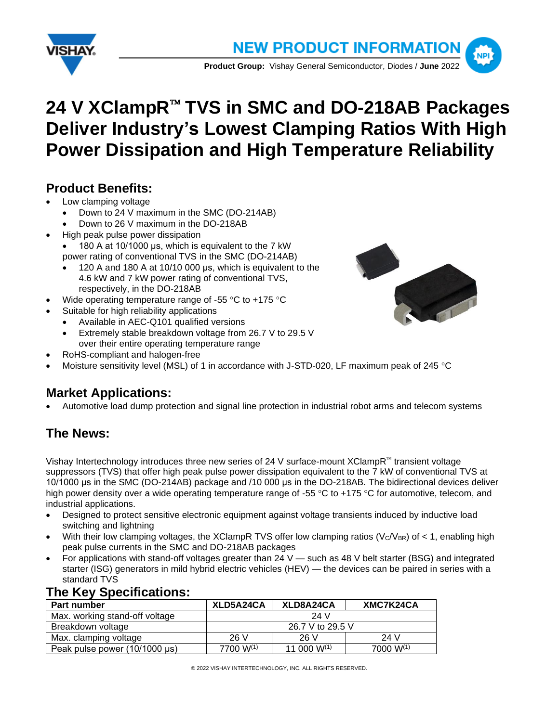



# 24 V XClampR<sup>™</sup> TVS in SMC and DO-218AB Packages **Deliver Industry's Lowest Clamping Ratios With High Power Dissipation and High Temperature Reliability**

## **Product Benefits:**

- Low clamping voltage
	- Down to 24 V maximum in the SMC (DO-214AB)
	- Down to 26 V maximum in the DO-218AB
- High peak pulse power dissipation
	- 180 A at 10/1000 μs, which is equivalent to the 7 kW power rating of conventional TVS in the SMC (DO-214AB)
	- 120 A and 180 A at 10/10 000 μs, which is equivalent to the 4.6 kW and 7 kW power rating of conventional TVS, respectively, in the DO-218AB
- Wide operating temperature range of -55  $\degree$ C to +175  $\degree$ C
- Suitable for high reliability applications
	- Available in AEC-Q101 qualified versions
	- Extremely stable breakdown voltage from 26.7 V to 29.5 V over their entire operating temperature range
- RoHS-compliant and halogen-free
- Moisture sensitivity level (MSL) of 1 in accordance with J-STD-020, LF maximum peak of 245 °C

### **Market Applications:**

• Automotive load dump protection and signal line protection in industrial robot arms and telecom systems

# **The News:**

Vishay Intertechnology introduces three new series of 24 V surface-mount XClampR<sup>N</sup> transient voltage suppressors (TVS) that offer high peak pulse power dissipation equivalent to the 7 kW of conventional TVS at 10/1000 μs in the SMC (DO-214AB) package and /10 000 μs in the DO-218AB. The bidirectional devices deliver high power density over a wide operating temperature range of -55 °C to +175 °C for automotive, telecom, and industrial applications.

- Designed to protect sensitive electronic equipment against voltage transients induced by inductive load switching and lightning
- With their low clamping voltages, the XClampR TVS offer low clamping ratios ( $V_C/V_{BR}$ ) of < 1, enabling high peak pulse currents in the SMC and DO-218AB packages
- For applications with stand-off voltages greater than 24 V such as 48 V belt starter (BSG) and integrated starter (ISG) generators in mild hybrid electric vehicles (HEV) — the devices can be paired in series with a standard TVS

| Part number                    | XLD5A24CA        | XLD8A24CA        | XMC7K24CA |  |
|--------------------------------|------------------|------------------|-----------|--|
| Max. working stand-off voltage |                  | 24 V             |           |  |
| Breakdown voltage              | 26.7 V to 29.5 V |                  |           |  |
| Max. clamping voltage          | 26 V             | 26 V             | 24 V      |  |
| Peak pulse power (10/1000 µs)  | 7700 W(1)        | 11 000 $W^{(1)}$ | 7000 W(1) |  |

### **The Key Specifications:**